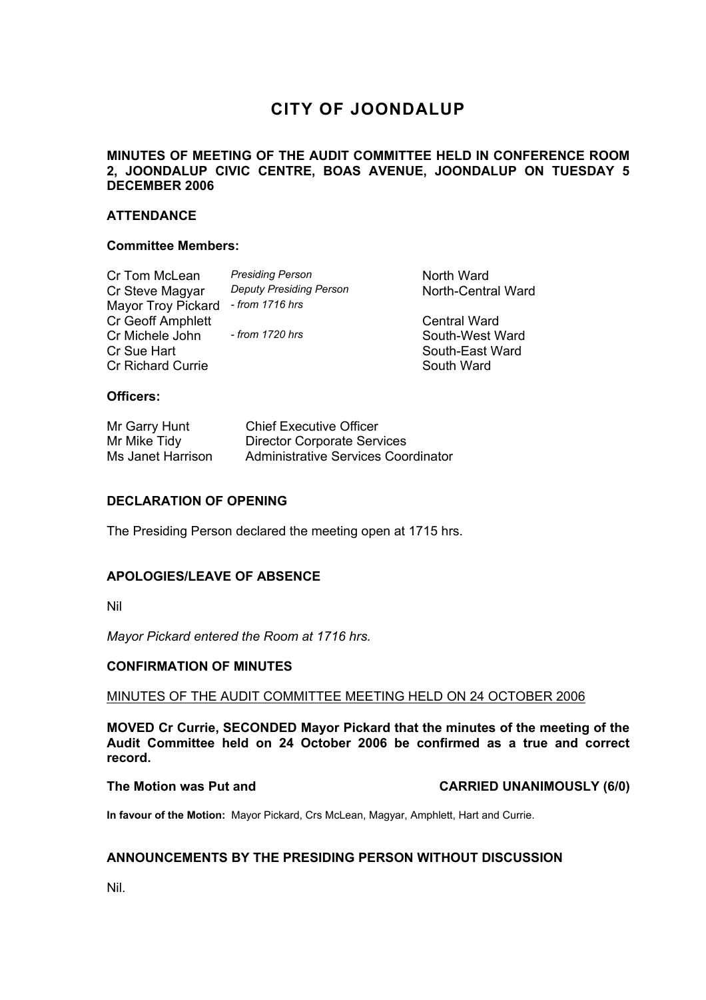# **CITY OF JOONDALUP**

# **MINUTES OF MEETING OF THE AUDIT COMMITTEE HELD IN CONFERENCE ROOM 2, JOONDALUP CIVIC CENTRE, BOAS AVENUE, JOONDALUP ON TUESDAY 5 DECEMBER 2006**

# **ATTENDANCE**

### **Committee Members:**

| Cr Tom McLean            | <b>Presiding Person</b>        | North Ward          |
|--------------------------|--------------------------------|---------------------|
| Cr Steve Magyar          | <b>Deputy Presiding Person</b> | North-Central Ward  |
| Mayor Troy Pickard       | $-$ from 1716 hrs              |                     |
| Cr Geoff Amphlett        |                                | <b>Central Ward</b> |
| Cr Michele John          | - from 1720 hrs                | South-West Ward     |
| Cr Sue Hart              |                                | South-East Ward     |
| <b>Cr Richard Currie</b> |                                | South Ward          |
|                          |                                |                     |

# **Officers:**

| Mr Garry Hunt     | <b>Chief Executive Officer</b>      |
|-------------------|-------------------------------------|
| Mr Mike Tidy      | <b>Director Corporate Services</b>  |
| Ms Janet Harrison | Administrative Services Coordinator |

## **DECLARATION OF OPENING**

The Presiding Person declared the meeting open at 1715 hrs.

## **APOLOGIES/LEAVE OF ABSENCE**

Nil

*Mayor Pickard entered the Room at 1716 hrs.* 

### **CONFIRMATION OF MINUTES**

### MINUTES OF THE AUDIT COMMITTEE MEETING HELD ON 24 OCTOBER 2006

**MOVED Cr Currie, SECONDED Mayor Pickard that the minutes of the meeting of the Audit Committee held on 24 October 2006 be confirmed as a true and correct record.** 

The Motion was Put and **CARRIED UNANIMOUSLY (6/0)** 

**In favour of the Motion:** Mayor Pickard, Crs McLean, Magyar, Amphlett, Hart and Currie.

# **ANNOUNCEMENTS BY THE PRESIDING PERSON WITHOUT DISCUSSION**

Nil.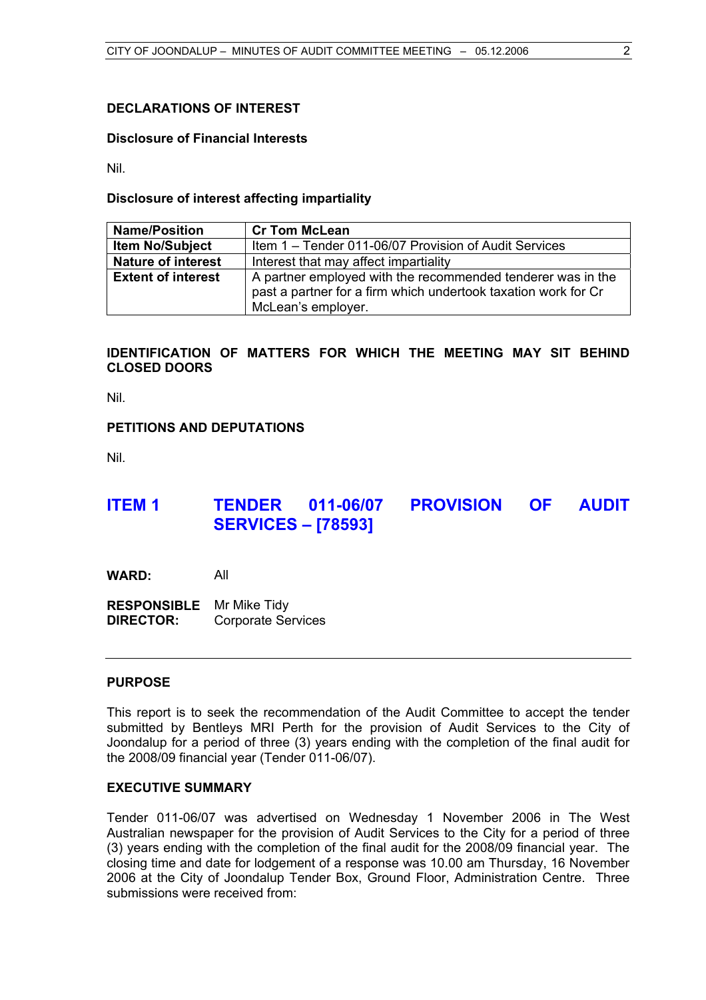# **DECLARATIONS OF INTEREST**

#### **Disclosure of Financial Interests**

Nil.

#### **Disclosure of interest affecting impartiality**

| <b>Name/Position</b>      | <b>Cr Tom McLean</b>                                                                                                                                |  |  |
|---------------------------|-----------------------------------------------------------------------------------------------------------------------------------------------------|--|--|
| <b>Item No/Subject</b>    | Item 1 – Tender 011-06/07 Provision of Audit Services                                                                                               |  |  |
| <b>Nature of interest</b> | Interest that may affect impartiality                                                                                                               |  |  |
| <b>Extent of interest</b> | A partner employed with the recommended tenderer was in the<br>past a partner for a firm which undertook taxation work for Cr<br>McLean's employer. |  |  |

# **IDENTIFICATION OF MATTERS FOR WHICH THE MEETING MAY SIT BEHIND CLOSED DOORS**

Nil.

### **PETITIONS AND DEPUTATIONS**

Nil.

# **ITEM 1 TENDER 011-06/07 PROVISION OF AUDIT SERVICES – [78593]**

**WARD:** All

**RESPONSIBLE** Mr Mike Tidy **DIRECTOR:** Corporate Services

#### **PURPOSE**

This report is to seek the recommendation of the Audit Committee to accept the tender submitted by Bentleys MRI Perth for the provision of Audit Services to the City of Joondalup for a period of three (3) years ending with the completion of the final audit for the 2008/09 financial year (Tender 011-06/07).

# **EXECUTIVE SUMMARY**

Tender 011-06/07 was advertised on Wednesday 1 November 2006 in The West Australian newspaper for the provision of Audit Services to the City for a period of three (3) years ending with the completion of the final audit for the 2008/09 financial year. The closing time and date for lodgement of a response was 10.00 am Thursday, 16 November 2006 at the City of Joondalup Tender Box, Ground Floor, Administration Centre. Three submissions were received from: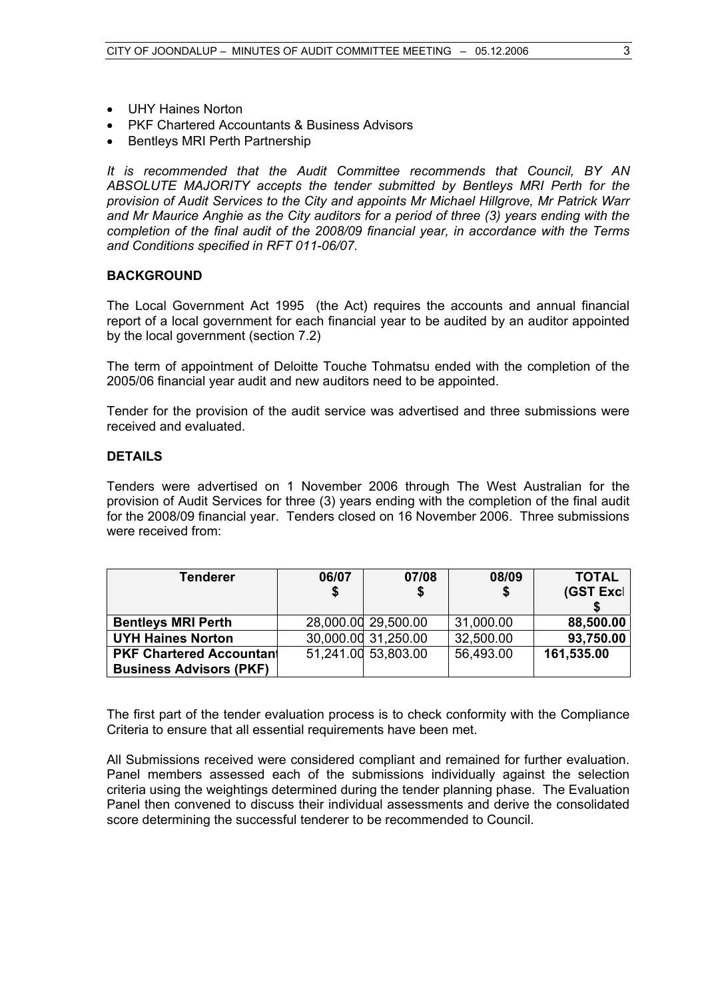- UHY Haines Norton
- PKF Chartered Accountants & Business Advisors
- Bentleys MRI Perth Partnership

*It is recommended that the Audit Committee recommends that Council, BY AN ABSOLUTE MAJORITY accepts the tender submitted by Bentleys MRI Perth for the provision of Audit Services to the City and appoints Mr Michael Hillgrove, Mr Patrick Warr and Mr Maurice Anghie as the City auditors for a period of three (3) years ending with the completion of the final audit of the 2008/09 financial year, in accordance with the Terms and Conditions specified in RFT 011-06/07.*

### **BACKGROUND**

The Local Government Act 1995 (the Act) requires the accounts and annual financial report of a local government for each financial year to be audited by an auditor appointed by the local government (section 7.2)

The term of appointment of Deloitte Touche Tohmatsu ended with the completion of the 2005/06 financial year audit and new auditors need to be appointed.

Tender for the provision of the audit service was advertised and three submissions were received and evaluated.

### **DETAILS**

Tenders were advertised on 1 November 2006 through The West Australian for the provision of Audit Services for three (3) years ending with the completion of the final audit for the 2008/09 financial year. Tenders closed on 16 November 2006. Three submissions were received from:

| Tenderer                        | 06/07 | 07/08               | 08/09     | <b>TOTAL</b> |
|---------------------------------|-------|---------------------|-----------|--------------|
|                                 |       |                     |           | (GST Excl    |
|                                 |       |                     |           |              |
| <b>Bentleys MRI Perth</b>       |       | 28,000.00 29,500.00 | 31,000.00 | 88,500.00    |
| <b>UYH Haines Norton</b>        |       | 30,000.00 31,250.00 | 32,500.00 | 93,750.00    |
| <b>PKF Chartered Accountant</b> |       | 51,241.00 53,803.00 | 56,493.00 | 161,535.00   |
| <b>Business Advisors (PKF)</b>  |       |                     |           |              |

The first part of the tender evaluation process is to check conformity with the Compliance Criteria to ensure that all essential requirements have been met.

All Submissions received were considered compliant and remained for further evaluation. Panel members assessed each of the submissions individually against the selection criteria using the weightings determined during the tender planning phase. The Evaluation Panel then convened to discuss their individual assessments and derive the consolidated score determining the successful tenderer to be recommended to Council.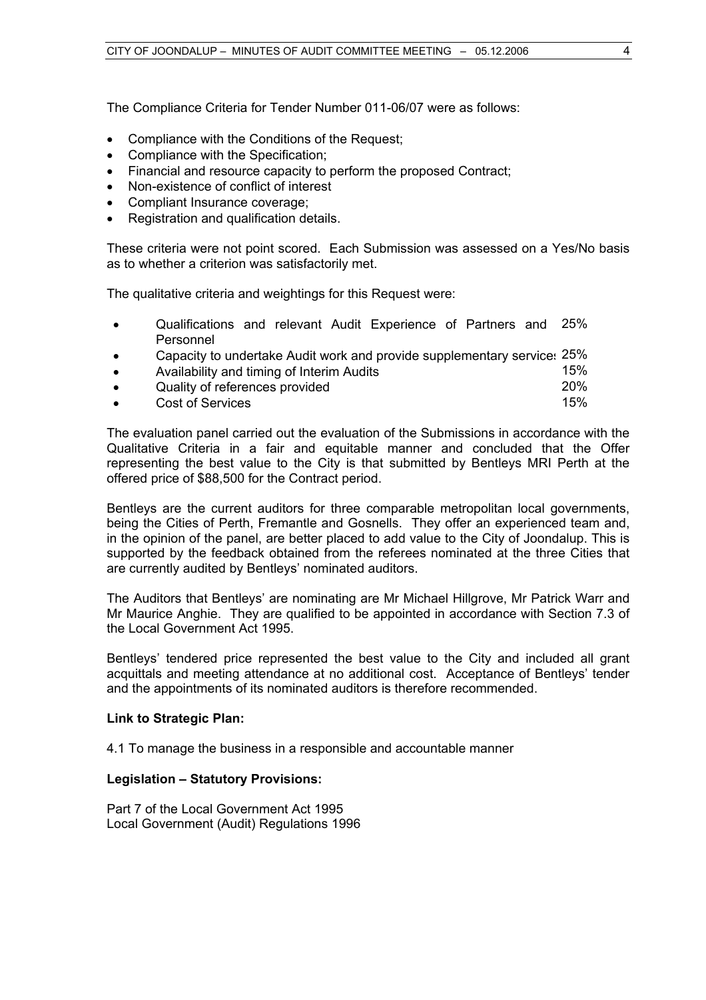The Compliance Criteria for Tender Number 011-06/07 were as follows:

- Compliance with the Conditions of the Request;
- Compliance with the Specification;
- Financial and resource capacity to perform the proposed Contract;
- Non-existence of conflict of interest
- Compliant Insurance coverage:
- Registration and qualification details.

These criteria were not point scored. Each Submission was assessed on a Yes/No basis as to whether a criterion was satisfactorily met.

The qualitative criteria and weightings for this Request were:

- Qualifications and relevant Audit Experience of Partners and Personnel 25%
- Capacity to undertake Audit work and provide supplementary service: 25% • Availability and timing of Interim Audits 15% 15% 15% 15% 15% Quality of references provided • Cost of Services 15%

The evaluation panel carried out the evaluation of the Submissions in accordance with the Qualitative Criteria in a fair and equitable manner and concluded that the Offer representing the best value to the City is that submitted by Bentleys MRI Perth at the offered price of \$88,500 for the Contract period.

Bentleys are the current auditors for three comparable metropolitan local governments, being the Cities of Perth, Fremantle and Gosnells. They offer an experienced team and, in the opinion of the panel, are better placed to add value to the City of Joondalup. This is supported by the feedback obtained from the referees nominated at the three Cities that are currently audited by Bentleys' nominated auditors.

The Auditors that Bentleys' are nominating are Mr Michael Hillgrove, Mr Patrick Warr and Mr Maurice Anghie. They are qualified to be appointed in accordance with Section 7.3 of the Local Government Act 1995.

Bentleys' tendered price represented the best value to the City and included all grant acquittals and meeting attendance at no additional cost. Acceptance of Bentleys' tender and the appointments of its nominated auditors is therefore recommended.

### **Link to Strategic Plan:**

4.1 To manage the business in a responsible and accountable manner

### **Legislation – Statutory Provisions:**

Part 7 of the Local Government Act 1995 Local Government (Audit) Regulations 1996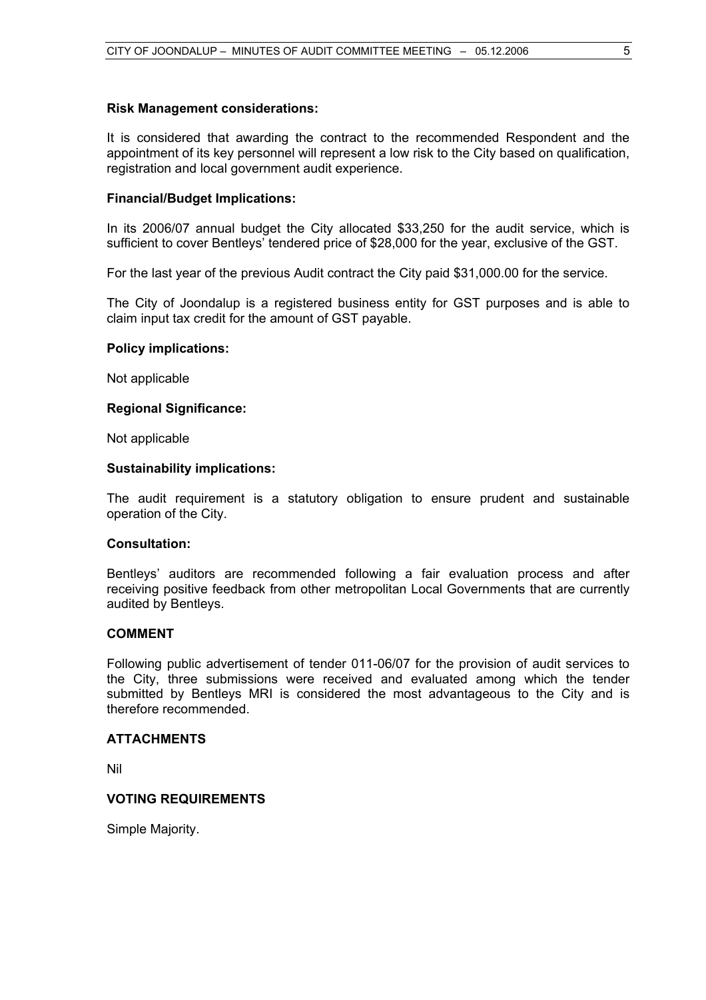### **Risk Management considerations:**

It is considered that awarding the contract to the recommended Respondent and the appointment of its key personnel will represent a low risk to the City based on qualification, registration and local government audit experience.

### **Financial/Budget Implications:**

In its 2006/07 annual budget the City allocated \$33,250 for the audit service, which is sufficient to cover Bentleys' tendered price of \$28,000 for the year, exclusive of the GST.

For the last year of the previous Audit contract the City paid \$31,000.00 for the service.

The City of Joondalup is a registered business entity for GST purposes and is able to claim input tax credit for the amount of GST payable.

#### **Policy implications:**

Not applicable

#### **Regional Significance:**

Not applicable

#### **Sustainability implications:**

The audit requirement is a statutory obligation to ensure prudent and sustainable operation of the City.

#### **Consultation:**

Bentleys' auditors are recommended following a fair evaluation process and after receiving positive feedback from other metropolitan Local Governments that are currently audited by Bentleys.

### **COMMENT**

Following public advertisement of tender 011-06/07 for the provision of audit services to the City, three submissions were received and evaluated among which the tender submitted by Bentleys MRI is considered the most advantageous to the City and is therefore recommended.

#### **ATTACHMENTS**

Nil

# **VOTING REQUIREMENTS**

Simple Majority.